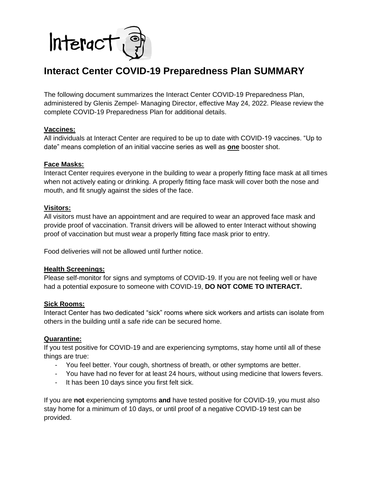

# **Interact Center COVID-19 Preparedness Plan SUMMARY**

The following document summarizes the Interact Center COVID-19 Preparedness Plan, administered by Glenis Zempel- Managing Director, effective May 24, 2022. Please review the complete COVID-19 Preparedness Plan for additional details.

## **Vaccines:**

All individuals at Interact Center are required to be up to date with COVID-19 vaccines. "Up to date" means completion of an initial vaccine series as well as **one** booster shot.

## **Face Masks:**

Interact Center requires everyone in the building to wear a properly fitting face mask at all times when not actively eating or drinking. A properly fitting face mask will cover both the nose and mouth, and fit snugly against the sides of the face.

#### **Visitors:**

All visitors must have an appointment and are required to wear an approved face mask and provide proof of vaccination. Transit drivers will be allowed to enter Interact without showing proof of vaccination but must wear a properly fitting face mask prior to entry.

Food deliveries will not be allowed until further notice.

## **Health Screenings:**

Please self-monitor for signs and symptoms of COVID-19. If you are not feeling well or have had a potential exposure to someone with COVID-19, **DO NOT COME TO INTERACT.** 

#### **Sick Rooms:**

Interact Center has two dedicated "sick" rooms where sick workers and artists can isolate from others in the building until a safe ride can be secured home.

#### **Quarantine:**

If you test positive for COVID-19 and are experiencing symptoms, stay home until all of these things are true:

- You feel better. Your cough, shortness of breath, or other symptoms are better.
- You have had no fever for at least 24 hours, without using medicine that lowers fevers.
- It has been 10 days since you first felt sick.

If you are **not** experiencing symptoms **and** have tested positive for COVID-19, you must also stay home for a minimum of 10 days, or until proof of a negative COVID-19 test can be provided.